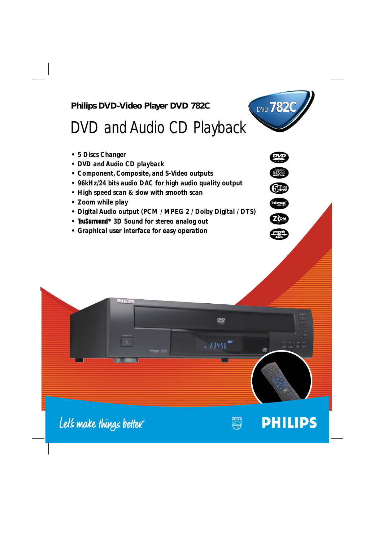





# **PHILIPS**